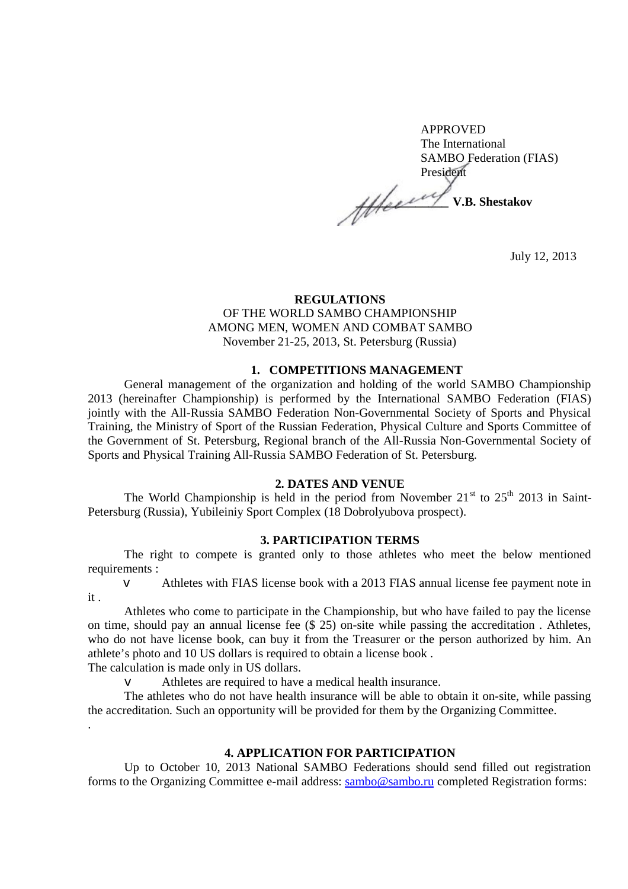APPROVED The International SAMBO Federation (FIAS) President **\_\_\_\_\_\_\_\_\_\_\_\_\_\_ V.B. Shestakov** 

July 12, 2013

## **REGULATIONS**

#### OF THE WORLD SAMBO CHAMPIONSHIP AMONG MEN, WOMEN AND COMBAT SAMBO November 21-25, 2013, St. Petersburg (Russia)

#### **1. COMPETITIONS MANAGEMENT**

General management of the organization and holding of the world SAMBO Championship 2013 (hereinafter Championship) is performed by the International SAMBO Federation (FIAS) jointly with the All-Russia SAMBO Federation Non-Governmental Society of Sports and Physical Training, the Ministry of Sport of the Russian Federation, Physical Culture and Sports Committee of the Government of St. Petersburg, Regional branch of the All-Russia Non-Governmental Society of Sports and Physical Training All-Russia SAMBO Federation of St. Petersburg.

#### **2. DATES AND VENUE**

The World Championship is held in the period from November  $21<sup>st</sup>$  to  $25<sup>th</sup>$  2013 in Saint-Petersburg (Russia), Yubileiniy Sport Complex (18 Dobrolyubova prospect).

## **3. PARTICIPATION TERMS**

The right to compete is granted only to those athletes who meet the below mentioned requirements :

v Athletes with FIAS license book with a 2013 FIAS annual license fee payment note in it .

Athletes who come to participate in the Championship, but who have failed to pay the license on time, should pay an annual license fee (\$ 25) on-site while passing the accreditation . Athletes, who do not have license book, can buy it from the Treasurer or the person authorized by him. An athlete's photo and 10 US dollars is required to obtain a license book .

The calculation is made only in US dollars.

v Athletes are required to have a medical health insurance.

The athletes who do not have health insurance will be able to obtain it on-site, while passing the accreditation. Such an opportunity will be provided for them by the Organizing Committee. .

#### **4. APPLICATION FOR PARTICIPATION**

Up to October 10, 2013 National SAMBO Federations should send filled out registration forms to the Organizing Committee e-mail address: [sambo@sambo.ru](mailto:sambo@sambo.ru) completed Registration forms: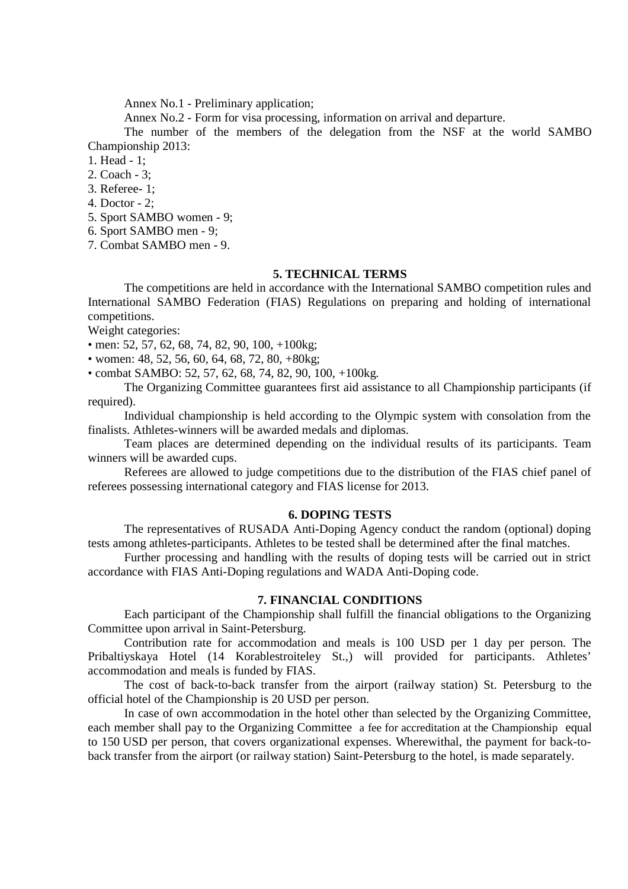Annex No.1 - Preliminary application;

Annex No.2 - Form for visa processing, information on arrival and departure.

The number of the members of the delegation from the NSF at the world SAMBO Championship 2013:

1. Head - 1;

2. Coach - 3;

3. Referee- 1;

4. Doctor - 2;

5. Sport SAMBO women - 9;

6. Sport SAMBO men - 9;

7. Combat SAMBO men - 9.

## **5. TECHNICAL TERMS**

The competitions are held in accordance with the International SAMBO competition rules and International SAMBO Federation (FIAS) Regulations on preparing and holding of international competitions.

Weight categories:

• men: 52, 57, 62, 68, 74, 82, 90, 100, +100kg;

• women: 48, 52, 56, 60, 64, 68, 72, 80, +80kg;

• combat SAMBO: 52, 57, 62, 68, 74, 82, 90, 100, +100kg.

The Organizing Committee guarantees first aid assistance to all Championship participants (if required).

Individual championship is held according to the Olympic system with consolation from the finalists. Athletes-winners will be awarded medals and diplomas.

Team places are determined depending on the individual results of its participants. Team winners will be awarded cups.

Referees are allowed to judge competitions due to the distribution of the FIAS chief panel of referees possessing international category and FIAS license for 2013.

#### **6. DOPING TESTS**

The representatives of RUSADA Anti-Doping Agency conduct the random (optional) doping tests among athletes-participants. Athletes to be tested shall be determined after the final matches.

Further processing and handling with the results of doping tests will be carried out in strict accordance with FIAS Anti-Doping regulations and WADA Anti-Doping code.

### **7. FINANCIAL CONDITIONS**

Each participant of the Championship shall fulfill the financial obligations to the Organizing Committee upon arrival in Saint-Petersburg.

Contribution rate for accommodation and meals is 100 USD per 1 day per person. The Pribaltiyskaya Hotel (14 Korablestroiteley St.,) will provided for participants. Athletes' accommodation and meals is funded by FIAS.

The cost of back-to-back transfer from the airport (railway station) St. Petersburg to the official hotel of the Championship is 20 USD per person.

In case of own accommodation in the hotel other than selected by the Organizing Committee, each member shall pay to the Organizing Committee a fee for accreditation at the Championship equal to 150 USD per person, that covers organizational expenses. Wherewithal, the payment for back-toback transfer from the airport (or railway station) Saint-Petersburg to the hotel, is made separately.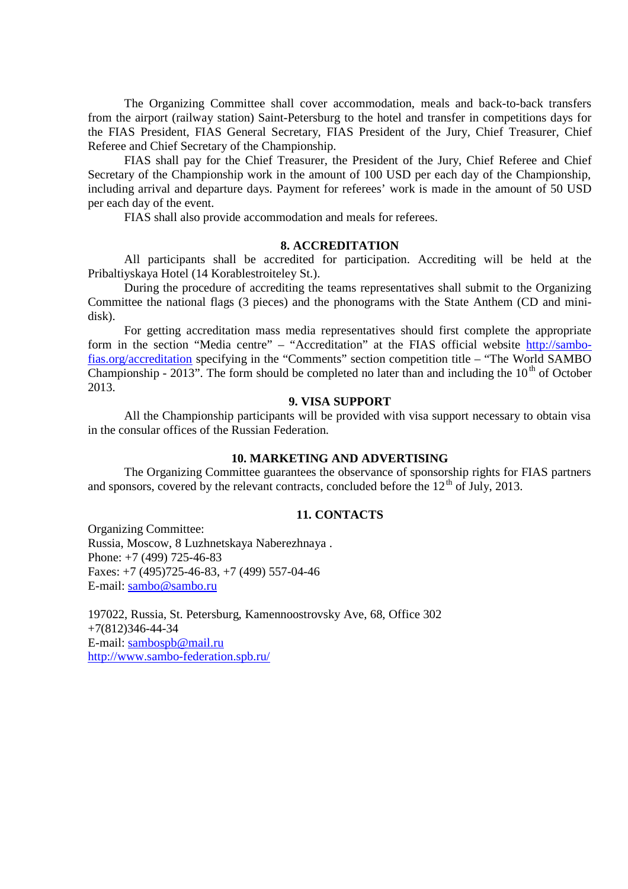The Organizing Committee shall cover accommodation, meals and back-to-back transfers from the airport (railway station) Saint-Petersburg to the hotel and transfer in competitions days for the FIAS President, FIAS General Secretary, FIAS President of the Jury, Chief Treasurer, Chief Referee and Chief Secretary of the Championship.

FIAS shall pay for the Chief Treasurer, the President of the Jury, Chief Referee and Chief Secretary of the Championship work in the amount of 100 USD per each day of the Championship, including arrival and departure days. Payment for referees' work is made in the amount of 50 USD per each day of the event.

FIAS shall also provide accommodation and meals for referees.

#### **8. ACCREDITATION**

All participants shall be accredited for participation. Accrediting will be held at the Pribaltiyskaya Hotel (14 Korablestroiteley St.).

During the procedure of accrediting the teams representatives shall submit to the Organizing Committee the national flags (3 pieces) and the phonograms with the State Anthem (CD and minidisk).

For getting accreditation mass media representatives should first complete the appropriate form in the section "Media centre" – "Accreditation" at the FIAS official website http://sambofias.org/accreditation specifying in the "Comments" section competition title – "The World SAMBO Championship - 2013". The form should be completed no later than and including the  $10<sup>th</sup>$  of October 2013.

## **9. VISA SUPPORT**

All the Championship participants will be provided with visa support necessary to obtain visa in the consular offices of the Russian Federation.

#### **10. MARKETING AND ADVERTISING**

The Organizing Committee guarantees the observance of sponsorship rights for FIAS partners and sponsors, covered by the relevant contracts, concluded before the  $12<sup>th</sup>$  of July, 2013.

## **11. CONTACTS**

Organizing Committee: Russia, Moscow, 8 Luzhnetskaya Naberezhnaya . Phone: +7 (499) 725-46-83 Faxes: +7 (495)725-46-83, +7 (499) 557-04-46 E-mail: [sambo@sambo.ru](mailto:sambo@sambo.ru)

197022, Russia, St. Petersburg, Kamennoostrovsky Ave, 68, Office 302 +7(812)346-44-34 E-mail: [sambospb@mail.ru](mailto:sambospb@mail.ru) <http://www.sambo-federation.spb.ru/>